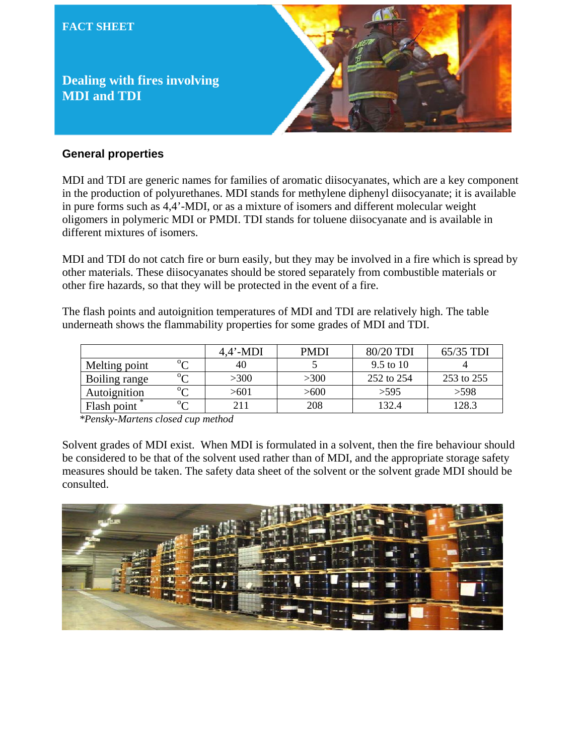

### **General properties**

MDI and TDI are generic names for families of aromatic diisocyanates, which are a key component in the production of polyurethanes. MDI stands for methylene diphenyl diisocyanate; it is available in pure forms such as 4,4'-MDI, or as a mixture of isomers and different molecular weight oligomers in polymeric MDI or PMDI. TDI stands for toluene diisocyanate and is available in different mixtures of isomers.

MDI and TDI do not catch fire or burn easily, but they may be involved in a fire which is spread by other materials. These diisocyanates should be stored separately from combustible materials or other fire hazards, so that they will be protected in the event of a fire.

The flash points and autoignition temperatures of MDI and TDI are relatively high. The table underneath shows the flammability properties for some grades of MDI and TDI.

|               |        | $4.4'$ -MDI | <b>PMDI</b> | 80/20 TDI  | $65/35$ TDI |
|---------------|--------|-------------|-------------|------------|-------------|
| Melting point | $\sim$ | 40          |             | 9.5 to 10  |             |
| Boiling range | $\sim$ | >300        | >300        | 252 to 254 | 253 to 255  |
| Autoignition  | $\sim$ | >601        | >600        | >595       | >598        |
| Flash point   | $\sim$ | 211         | 208         | 132.4      | 128.3       |

*\*Pensky-Martens closed cup method* 

Solvent grades of MDI exist. When MDI is formulated in a solvent, then the fire behaviour should be considered to be that of the solvent used rather than of MDI, and the appropriate storage safety measures should be taken. The safety data sheet of the solvent or the solvent grade MDI should be consulted.

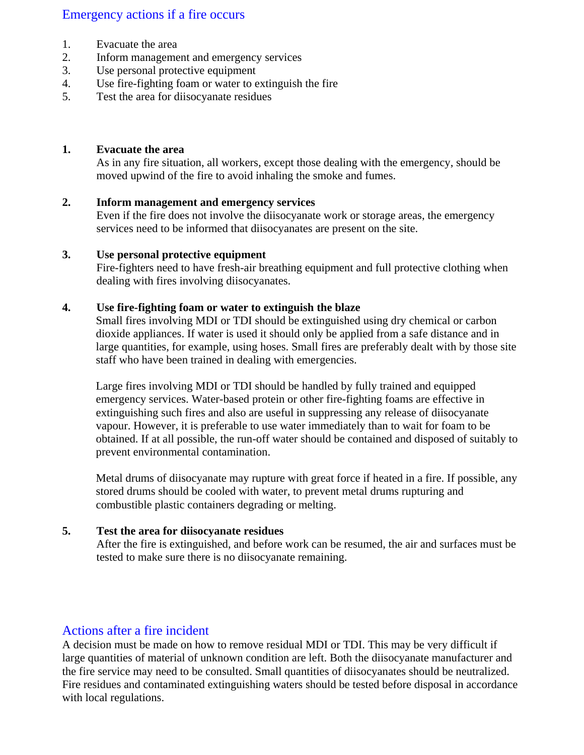# Emergency actions if a fire occurs

- 1. Evacuate the area
- 2. Inform management and emergency services
- 3. Use personal protective equipment
- 4. Use fire-fighting foam or water to extinguish the fire
- 5. Test the area for diisocyanate residues

### **1. Evacuate the area**

As in any fire situation, all workers, except those dealing with the emergency, should be moved upwind of the fire to avoid inhaling the smoke and fumes.

### **2. Inform management and emergency services**

Even if the fire does not involve the diisocyanate work or storage areas, the emergency services need to be informed that diisocyanates are present on the site.

### **3. Use personal protective equipment**

Fire-fighters need to have fresh-air breathing equipment and full protective clothing when dealing with fires involving diisocyanates.

### **4. Use fire-fighting foam or water to extinguish the blaze**

 Small fires involving MDI or TDI should be extinguished using dry chemical or carbon dioxide appliances. If water is used it should only be applied from a safe distance and in large quantities, for example, using hoses. Small fires are preferably dealt with by those site staff who have been trained in dealing with emergencies.

 Large fires involving MDI or TDI should be handled by fully trained and equipped emergency services. Water-based protein or other fire-fighting foams are effective in extinguishing such fires and also are useful in suppressing any release of diisocyanate vapour. However, it is preferable to use water immediately than to wait for foam to be obtained. If at all possible, the run-off water should be contained and disposed of suitably to prevent environmental contamination.

 Metal drums of diisocyanate may rupture with great force if heated in a fire. If possible, any stored drums should be cooled with water, to prevent metal drums rupturing and combustible plastic containers degrading or melting.

#### **5. Test the area for diisocyanate residues**

After the fire is extinguished, and before work can be resumed, the air and surfaces must be tested to make sure there is no diisocyanate remaining.

## Actions after a fire incident

A decision must be made on how to remove residual MDI or TDI. This may be very difficult if large quantities of material of unknown condition are left. Both the diisocyanate manufacturer and the fire service may need to be consulted. Small quantities of diisocyanates should be neutralized. Fire residues and contaminated extinguishing waters should be tested before disposal in accordance with local regulations.